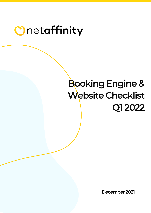# Booking Engine & Website Checklist Q1 2022

December 2021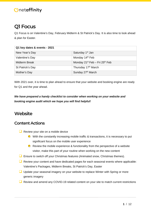# Q1 Focus

Q1 Focus is on Valentine's Day, February Midterm & St Patrick's Day. It is also time to look ahead & plan for Easter.

| Q1 key dates & events - 2021 |                                                        |
|------------------------------|--------------------------------------------------------|
| New Year's Day               | Saturday 1 <sup>st</sup> Jan                           |
| Valentine's Day              | Monday 14th Feb                                        |
| <b>Midterm Break</b>         | Monday 21 <sup>st</sup> Feb - Fri 25 <sup>th</sup> Feb |
| St Patrick's Day             | Thursday 17 <sup>th</sup> March                        |
| Mother's Day                 | Sunday 27th March                                      |

With 2021 over, it is time to plan ahead to ensure that your website and booking engine are ready for Q1 and the year ahead.

*We have prepared a handy checklist to consider when working on your website and booking engine audit which we hope you will find helpful!* 

## **Website**

## **Content Actions**

- Review your site on a mobile device
	- $\bullet$  With the constantly increasing mobile traffic & transactions, it is necessary to put significant focus on the mobile user experience
	- $\bullet$  Review the mobile experience & functionality from the perspective of a website visitor, make this part of your routine when working on the new content
- □ Ensure to switch off your Christmas features (Animated snow, Christmas themes).
- Review your content and have dedicated pages for each seasonal events where applicable: Valentine's Packages, Midterm Breaks, St Patrick's Day, Easter
- □ Update your seasonal imagery on your website to replace Winter with Spring or more generic imagery
- Review and amend any COVID-19 related content on your site to match current restrictions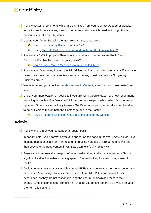- ❑ Review customer comments which are submitted from your Contact Us & other website forms to see if there are any ideas or recommendations which need actioning - this is particularly helpful for FAQ items
- □ Update your Action Bar with the most relevant seasonal offers:
	- **O** [How do I update my Premium Action Bar?](https://support.netaffinity.com/knowledge/how-do-i-update-my-premium-action-bar)
	- **O** [If using W](https://support.netaffinity.com/knowledge/how-do-i-update-my-premium-action-bar)ebsite Builder How do I add an Action Bar to my website?
- $\Box$  Review any CMS Pop Ups Think about using these to communicate Book Direct Discounts, Flexible Terms etc. to your guests?
	- [How do I add Pop Up Messages to my website/CMS?](https://support.netaffinity.com/knowledge/how-do-i-add-pop-up-messages-to-my-website/cms)
- Review your Google my Business & TripAdvisor profiles; amend opening status if you have been closed, respond to any reviews and answer any questions on your Google my Business profile.
- $\Box$  We recommend you check out [A Masterclass in Content,](https://www.youtube.com/watch?v=Gf7Zn-3WzLY) a webinar which we hosted last year.
- Check your map location on your site if you are using Google Maps. We now recommend replacing this with a 'Get Directions' link, as the map keeps crashing when Google makes updates. Guests are more likely to use a Get Directions option, especially when travelling to hotel. Replace this on both the Homepage and in the Footer.
	- [How do I setup a Location / Get Directions Link for my website?](https://support.netaffinity.com/knowledge/location-/-get-directions-link)

## Admin

■ Review and refresh your content on a regular basis.

Important note: Add & format any text to appear on the page in the WYSIWYG editor. Text must be pasted as plain text - we recommend using notepad to format the text first and then copy it to the page content in CMS as plain text (Ctrl + Shift + V)

- $\Box$  Ensure you compress the images before uploading them to the website as large files can significantly slow the website loading speed. You are looking for a max image size of 250kb.
- $\Box$  Avoid content that is only accessible through PDFs to the content of the site for better user experience & for Google to index this content. On mobile, PDFs are an awful user experience, as they are not responsive, and the user must download them to their phone. Google cannot index content on PDFs, so you do not get any SEO value on your site from this content.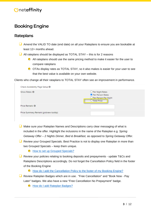# Booking Engine

### **Rateplans**

- Amend the VALID TO date (end date) on all your Rateplans to ensure you are bookable at least 12+ months ahead.
- $\Box$  All rateplans should be displayed as TOTAL STAY this is for 2 reasons
	- $\bullet$  All rateplans should use the same pricing method to make it easier for the user to compare rateplans
	- OTAs display rates as TOTAL STAY, so it also makes is easier for your user to see that the best value is available on your own website.

Clients who change all their rataplans to TOTAL STAY often see an improvement in performance.

| Check Availability Page Setup <sup>6</sup> |                                                                                           |
|--------------------------------------------|-------------------------------------------------------------------------------------------|
| Show Rates: <b>O</b>                       | O Per Night Rates<br><b>O</b> Per Person Rates<br>O Per Person Per Night<br>◯ Total Price |
| Price Remark: <b>O</b>                     |                                                                                           |
| Price Summary Remark (gridview tooltip):   |                                                                                           |

- ❑ Make sure your Rateplan Names and Descriptions carry clear messaging of what is included in the offer. Highlight the inclusions in the name of the Rateplan e.g. *Spring Getaway Offer – 2 Nights Dinner, Bed & Breakfast,* as opposed to *Spring Getaway Offer.*
- Review your Grouped Specials. Best Practice is not to display one Rateplan in more than two Grouped Specials – keep them unique.
	- **O** [How to set up Grouped Specials?](https://support.netaffinity.com/knowledge/how-to-set-up-grouped-specials)
- ❑ Review your policies relating to booking deposits and prepayments update T&Cs and Rateplans Descriptions accordingly. Do not forget the Cancellation Policy field in the footer of the Booking Engine
	- [How do I add the Cancellation Policy to the footer of my Booking Engine?](https://support.netaffinity.com/knowledge/how-do-i-add-the-cancellation-policy-to-my-booking-engine)
- Review Rateplan Badges which are in use. "Free Cancellation" and "Book Now Pay Later" badges. We also have a new "Free Cancellation No Prepayment" badge.
	- **O** [How do I add Rateplan Badges?](https://support.netaffinity.com/knowledge/how-do-i-add-rateplan-badges)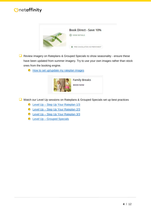

- ❑ Review imagery on Rateplans & Grouped Specials to show seasonality ensure these have been updated from summer imagery. Try to use your own images rather than stock ones from the booking engine.
	- **O** [How to set up/update my rateplan](https://support.netaffinity.com/knowledge/how-to-update-my-rateplan-images) images



❑ Watch our Level Up sessions on Rateplans & Grouped Specials set up best practices

- Level Up [Step Up Your Rateplan 1/3](https://www.youtube.com/watch?v=ILUHoO2UpgI)
- Level Up [Step Up Your Rateplan 2/3](https://www.youtube.com/watch?v=8szzjt9DU2E&feature=youtu.be)
- Level Up [Step Up Your Rateplan 3/3](https://www.youtube.com/watch?v=uxGVJZEypQ0)
- Level Up [Grouped Specials](https://www.youtube.com/watch?v=rkYu1OTnvFE)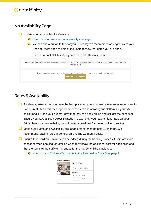## No Availability Page

- ❑ Update your No Availability Message.
	- $\bullet$  How to customise your no availability message
	- We can add a button to this for you. Currently we recommend adding a link to your Special Offers page to help guide users to view that dates you are open.

Please contact Net Affinity if you wish to add this to your site.

| A Unfortunately we do not have online availability or a minimum stay policy has been set for the dates you have chosen. Please try<br>different dates. |  |
|--------------------------------------------------------------------------------------------------------------------------------------------------------|--|
| A We do not have availability for the date(s) you have chosen, but please have a look at all our offers<br><b>ALL AVAILABLE OFFERS</b>                 |  |

## Rates & Availability

- $\Box$  As always, ensure that you have the best prices on your own website to encourage users to Book Direct. Keep this message clear, consistent and across your platforms – your site, social media & ads your guests know that they can book online and still get the best deal. Ensure you have a Book Direct Strategy in place, e.g., you have a higher rate on your OTAs than your own website, complimentary breakfast for those booking direct etc.
- Make sure Rates and Availability are loaded for at least the next 12 months. We recommend loading rates in general on a rolling 12-month basis.
- Ensure that Children & Infants can be added during the booking process. Users are more confident when booking for families when they know the additional cost for each child and that the room will be sufficient in space for the no. OF children included.
	- **O** [How do I add Children/Occupants to the Personalise Your Stay page?](https://support.netaffinity.com/knowledge/how-do-i-add-children/occupants-to-the-personalise-your-stay-page)

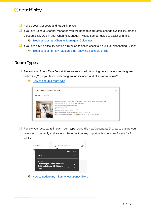- Revise your Closeouts and MLOS in place
- If you are using a Channel Manager, you will need to load rates, change availability, amend Closeouts & MLOS in your Channel Manager. Please see our guide to assist with this:
	- Troubleshooting [Channel Managers Guidelines](https://support.netaffinity.com/knowledge/troubleshooting-channel-managers-guidelines)
- $\Box$  If you are having difficulty getting a rateplan to show, check out our Troubleshooting Guide:
	- Troubleshooting [My rateplan is not showing bookable online](https://support.netaffinity.com/knowledge/i-have-created-a-new-rateplan.-why-is-it-not-showing-on-my-website)  $\bigcirc$

### Room Types

 $\Box$  Review your Room Type Descriptions – can you add anything here to reassure the quest on booking? Do you have bed configuration included and all in-room extras?

[How to set up a room type](https://support.netaffinity.com/knowledge/how-to-set-up-a-room-type)  $\bigcirc$ 



 $\Box$  Review your occupants in each room type, using the new Occupants Display to ensure you have set up correctly and are not missing out on any opportunities outside of stays for 2 adults.



[How to update my min/max occupancy filters](https://support.netaffinity.com/knowledge/how-to-update-occupancy-filters) $\bigcirc$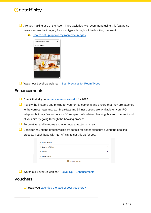■ Are you making use of the Room Type Galleries, we recommend using this feature so users can see the imagery for room types throughout the booking process?

 $\bullet$  [How to set up/update my roomtype images](https://support.netaffinity.com/knowledge/how-to-set-up/update-my-roomtype-images)



 $\Box$  Watch our Level Up webinar – [Best Practices for Room Types](https://www.youtube.com/watch?v=rDQ8WXMEdqA)

### Enhancements

- □ Check that all your [enhancements are](https://support.netaffinity.com/hc/en-us/articles/360003296514-How-to-set-up-an-Enhancement-Add-On) valid for 2022
- $\Box$  Review the imagery and pricing for your enhancements and ensure that they are attached to the correct rateplans. e.g. Breakfast and Dinner options are available on your RO rateplan, but only Dinner on your BB rateplan. We advise checking this from the front end of your site by going through the booking process.
- ❑ Be creative, add in rooms extras or local attractions tickets
- $\Box$  Consider having the groups visible by default for better exposure during the booking process. Touch base with Net Affinity to set this up for you.

| + Dining Options      | $\checkmark$ |
|-----------------------|--------------|
| + Selection of Drinks | $\checkmark$ |
| + Flowers             | $\checkmark$ |
| + Late Checkout       | $\checkmark$ |

 $\Box$  Watch our Level Up webinar – Level Up – [Enhancements](https://www.youtube.com/watch?v=EoYZEkA9Dmk)

#### Vouchers

□ Have you [extended the date of your vouchers?](https://support.netaffinity.com/hc/en-us/articles/360003324593-Why-are-my-vouchers-no-longer-showing-for-sale-)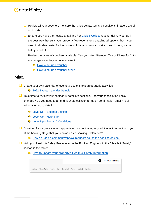- $\Box$  Review all your vouchers ensure that price points, terms & conditions, imagery are all up to date.
- $\Box$  Ensure you have the Postal, Email and / or [Click & Collect](https://support.netaffinity.com/hc/en-us/articles/360015870737) voucher delivery set up in the best way that suits your property. We recommend enabling all options, but if you need to disable postal for the moment if there is no one on site to send them, we can help you with this.
- Review the types of vouchers available. Can you offer Afternoon Tea or Dinner for 2, to encourage sales to your local market?
	- $\bigcirc$  [How to set up a voucher](https://support.netaffinity.com/hc/en-us/articles/360003531613-How-to-set-up-a-voucher)
	- **O** [How to set up a voucher group](https://support.netaffinity.com/hc/en-us/articles/360011579638)

#### Misc.

- □ Create your own calendar of events & use this to plan quarterly activities.
	- **[2022 Events Calendar Sample](https://www.netaffinity.com/cmsFiles/events_calendar_2022_sample.xls)**
- $\Box$  Take time to review your settings & hotel info sections. Has your cancellation policy changed? Do you need to amend your cancellation terms on confirmation email? Is all information up to date?
	- Level Up [Settings Section](https://www.youtube.com/watch?v=Gf7tGcrPx_8)
	- Level Up [Hotel Info](https://www.youtube.com/watch?v=5OCr22u_jEs)
	- Level Up [Terms & Conditions](https://www.youtube.com/watch?v=jOnkOeuqi_U)
- Consider if your guests would appreciate communicating any additional information to you at the booking stage that you can add as a Booking Preference?
	- [How do I add a comments/special requests box to the booking engine?](https://support.netaffinity.com/knowledge/how-do-i-add-a-comments/special-requests-box-to-the-booking-engine)
- ❑ Add your Health & Safety Procedures to the Booking Engine with the "Health & Safety" section in the footer
	- [How to update your property's Health & Safety Information](https://support.netaffinity.com/knowledge/how-to-update-your-propertys-health-safety-information)

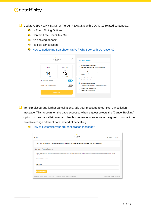- ❑ Update USPs / WHY BOOK WITH US REASONS with COVID-19 related content e.g.
	- **O** In Room Dining Options
	- Contact Free Check In / Out
	- **O** No booking deposit
	- **O** Flexible cancellation
	- [How to update my Searchbox](https://support.netaffinity.com/knowledge/how-to-update-my-searchbox-usps-/-why-book-with-us-reasons) USPs / Why Book with Us reasons?

| <b>THE-AFFINITY</b><br>HOTEL | $\times$         | <b>WHY BOOK WITH US?</b>                                                      |
|------------------------------|------------------|-------------------------------------------------------------------------------|
| <b>CHECK IN</b>              | <b>CHECK OUT</b> | Book Direct and Save €10<br>U                                                 |
| <b>THU</b>                   | <b>FRI</b>       | Best Rates on our own Site - Save €10 per night<br><b>No Booking Fee</b><br>∞ |
| 14                           | 15               | Book now - pay later. Free cancellations on most<br>rooms!                    |
| OCT 2021                     | OCT 2021         | <b>New Cleanliness Standards</b><br>∞                                         |
| Are your dates flexible?     | YES O            | Covid-19 additional measures to ensure cleanliness.                           |
| Do you have a promo code?    | <b>NO</b>        | n Room Dining Options<br>Comprehensive menu with a wide variety of choices.   |
|                              |                  | <b>Contact Free Check In/Out</b><br>∞                                         |
| <b>SEARCH</b>                |                  | Fast and Easy Check In/Out                                                    |

❑ To help discourage further cancellations, add your message to our Pre-Cancellation message. This appears on the page accessed when a guest selects the "Cancel Booking" option on their cancellation email. Use this message to encourage the guest to contact the hotel to arrange different date instead of cancelling.

| <b>ft</b> HOME                                                                 | <b>THE AFFINITY</b><br>HOTEL                                                                                                                                                | C ENGLISH - E EUR -         |
|--------------------------------------------------------------------------------|-----------------------------------------------------------------------------------------------------------------------------------------------------------------------------|-----------------------------|
|                                                                                | If you'd like to change the dates of your booking or discuss anything else in relation to cancelling your booking, please call us at the hotel directly.                    |                             |
| <b>Booking Cancellation</b>                                                    |                                                                                                                                                                             |                             |
| Booking".<br><b>Booking Reference Number</b>                                   | Should you wish to cancel your booking, please enter your Booking Reference Number and the email address used at the time of booking in the boxes below and click "Retrieve |                             |
| <b>Email Address</b><br><b>RETRIEVE BOOKING</b>                                |                                                                                                                                                                             |                             |
| Location Privacy Policy Cookie Policy Cancellation Policy Health & Safety Info |                                                                                                                                                                             | Made with v by Onetaffinity |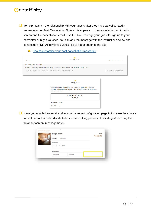$\Box$  To help maintain the relationship with your guests after they have cancelled, add a message to our Post Cancellation Note – this appears on the cancellation confirmation screen and the cancellation email. Use this to encourage your guest to sign up to your newsletter or buy a voucher. You can add the message with the instructions below and contact us at Net Affinity if you would like to add a button to the text.

| <b>f</b> HOME                       | ല<br><b>THE-AFFINITY</b><br>HOTEL                                                                                                                                                                                                 | © ENGLISH + € EUR +         |
|-------------------------------------|-----------------------------------------------------------------------------------------------------------------------------------------------------------------------------------------------------------------------------------|-----------------------------|
| Booking was successfully cancelled. |                                                                                                                                                                                                                                   |                             |
|                                     | We're sorry to hear that you've cancelled your booking - we hope to be able to welcome you to the Affinity Hotel again soon.                                                                                                      |                             |
|                                     | Location Privacy Policy Cookie Policy Cancellation Policy Health & Safety Info                                                                                                                                                    | Made with ♥ by Cnetaffinity |
|                                     | <b>THE-AFFINITY</b><br>HOTEL                                                                                                                                                                                                      |                             |
|                                     | Your reservation is now cancelled. Please retain a copy of this confirmation for your records.<br>We're sorry to hear that you've cancelled your booking - we hope to be able to welcome you to the<br>Affinity Hotel again soon. |                             |
|                                     | <b>Booking Cancellation Reference</b><br>29300816                                                                                                                                                                                 |                             |

■ Have you enabled an email address on the room configuration page to increase the chance to capture bookers who decide to leave the booking process at this stage & showing them an abandonment message here?

|  | <b>Single Room</b>                              | Price<br>€155.00 |
|--|-------------------------------------------------|------------------|
|  | Package:<br>Room Only                           |                  |
|  | Occupants:<br><b>Adults</b><br>٠<br>×<br>$\sim$ |                  |
|  | <b>Guest Details</b>                            |                  |
|  | First Name<br>Surname                           |                  |